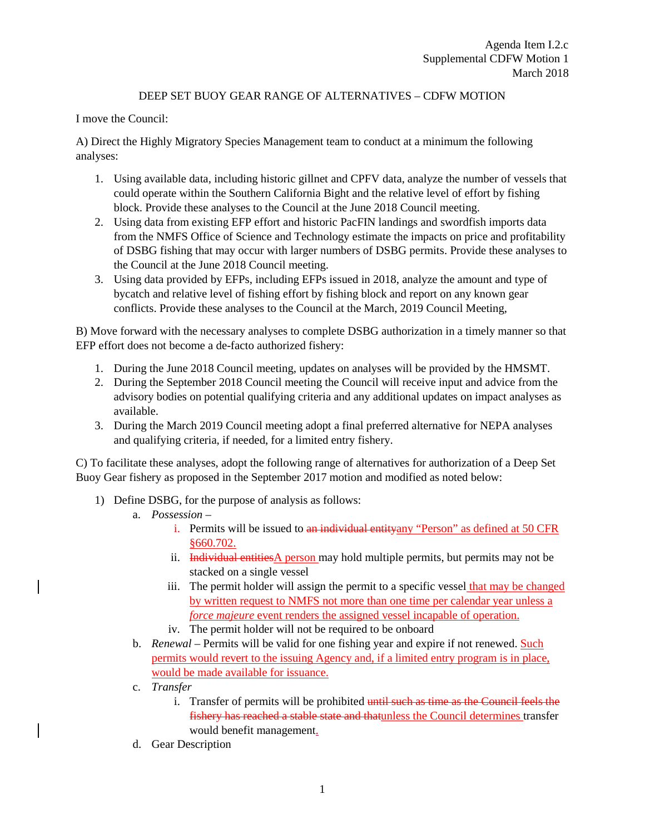## DEEP SET BUOY GEAR RANGE OF ALTERNATIVES – CDFW MOTION

I move the Council:

A) Direct the Highly Migratory Species Management team to conduct at a minimum the following analyses:

- 1. Using available data, including historic gillnet and CPFV data, analyze the number of vessels that could operate within the Southern California Bight and the relative level of effort by fishing block. Provide these analyses to the Council at the June 2018 Council meeting.
- 2. Using data from existing EFP effort and historic PacFIN landings and swordfish imports data from the NMFS Office of Science and Technology estimate the impacts on price and profitability of DSBG fishing that may occur with larger numbers of DSBG permits. Provide these analyses to the Council at the June 2018 Council meeting.
- 3. Using data provided by EFPs, including EFPs issued in 2018, analyze the amount and type of bycatch and relative level of fishing effort by fishing block and report on any known gear conflicts. Provide these analyses to the Council at the March, 2019 Council Meeting,

B) Move forward with the necessary analyses to complete DSBG authorization in a timely manner so that EFP effort does not become a de-facto authorized fishery:

- 1. During the June 2018 Council meeting, updates on analyses will be provided by the HMSMT.
- 2. During the September 2018 Council meeting the Council will receive input and advice from the advisory bodies on potential qualifying criteria and any additional updates on impact analyses as available.
- 3. During the March 2019 Council meeting adopt a final preferred alternative for NEPA analyses and qualifying criteria, if needed, for a limited entry fishery.

C) To facilitate these analyses, adopt the following range of alternatives for authorization of a Deep Set Buoy Gear fishery as proposed in the September 2017 motion and modified as noted below:

- 1) Define DSBG, for the purpose of analysis as follows:
	- a. *Possession*
		- i. Permits will be issued to an individual entityany "Person" as defined at 50 CFR §660.702.
		- ii. Individual entities  $\triangle$  person may hold multiple permits, but permits may not be stacked on a single vessel
		- iii. The permit holder will assign the permit to a specific vessel that may be changed by written request to NMFS not more than one time per calendar year unless a *force majeure* event renders the assigned vessel incapable of operation.
		- iv. The permit holder will not be required to be onboard
	- b. *Renewal* Permits will be valid for one fishing year and expire if not renewed. Such permits would revert to the issuing Agency and, if a limited entry program is in place, would be made available for issuance.
	- c. *Transfer*
		- i. Transfer of permits will be prohibited until such as time as the Council feels the fishery has reached a stable state and thatunless the Council determines transfer would benefit management.
	- d. Gear Description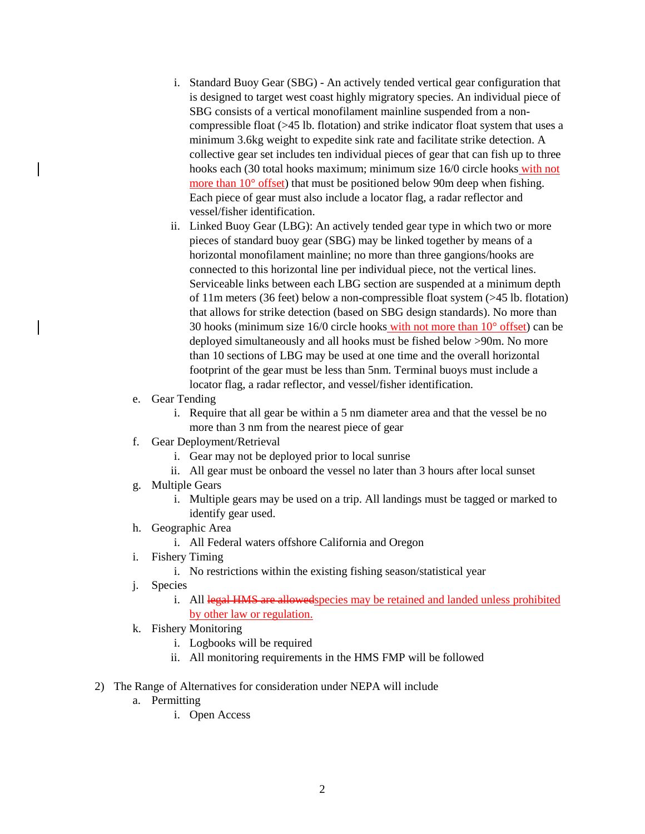- i. Standard Buoy Gear (SBG) An actively tended vertical gear configuration that is designed to target west coast highly migratory species. An individual piece of SBG consists of a vertical monofilament mainline suspended from a noncompressible float (>45 lb. flotation) and strike indicator float system that uses a minimum 3.6kg weight to expedite sink rate and facilitate strike detection. A collective gear set includes ten individual pieces of gear that can fish up to three hooks each (30 total hooks maximum; minimum size 16/0 circle hooks with not more than 10° offset) that must be positioned below 90m deep when fishing. Each piece of gear must also include a locator flag, a radar reflector and vessel/fisher identification.
- ii. Linked Buoy Gear (LBG): An actively tended gear type in which two or more pieces of standard buoy gear (SBG) may be linked together by means of a horizontal monofilament mainline; no more than three gangions/hooks are connected to this horizontal line per individual piece, not the vertical lines. Serviceable links between each LBG section are suspended at a minimum depth of 11m meters (36 feet) below a non-compressible float system (>45 lb. flotation) that allows for strike detection (based on SBG design standards). No more than 30 hooks (minimum size 16/0 circle hooks with not more than 10° offset) can be deployed simultaneously and all hooks must be fished below >90m. No more than 10 sections of LBG may be used at one time and the overall horizontal footprint of the gear must be less than 5nm. Terminal buoys must include a locator flag, a radar reflector, and vessel/fisher identification.
- e. Gear Tending
	- i. Require that all gear be within a 5 nm diameter area and that the vessel be no more than 3 nm from the nearest piece of gear
- f. Gear Deployment/Retrieval
	- i. Gear may not be deployed prior to local sunrise
	- ii. All gear must be onboard the vessel no later than 3 hours after local sunset
- g. Multiple Gears
	- i. Multiple gears may be used on a trip. All landings must be tagged or marked to identify gear used.
- h. Geographic Area
	- i. All Federal waters offshore California and Oregon
- i. Fishery Timing
	- i. No restrictions within the existing fishing season/statistical year
- j. Species
	- i. All legal HMS are allowed species may be retained and landed unless prohibited by other law or regulation.
- k. Fishery Monitoring
	- i. Logbooks will be required
	- ii. All monitoring requirements in the HMS FMP will be followed
- 2) The Range of Alternatives for consideration under NEPA will include
	- a. Permitting
		- i. Open Access